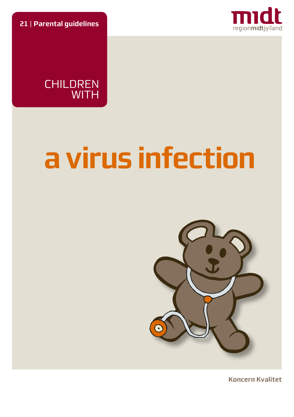**21** | **Parental guidelines**



CHILDREN **WITH** 

# **a virus infection**



**Koncern Kvalitet**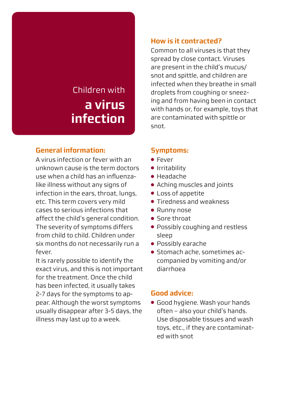# Children with **a virus infection**

# **General information:**

A virus infection or fever with an unknown cause is the term doctors use when a child has an influenzalike illness without any signs of infection in the ears, throat, lungs, etc. This term covers very mild cases to serious infections that affect the child's general condition. The severity of symptoms differs from child to child. Children under six months do not necessarily run a fever.

It is rarely possible to identify the exact virus, and this is not important for the treatment. Once the child has been infected, it usually takes 2-7 days for the symptoms to appear. Although the worst symptoms usually disappear after 3-5 days, the illness may last up to a week.

# **How is it contracted?**

Common to all viruses is that they spread by close contact. Viruses are present in the child's mucus/ snot and spittle, and children are infected when they breathe in small droplets from coughing or sneezing and from having been in contact with hands or, for example, toys that are contaminated with spittle or snot.

# **Symptoms:**

- Fever
- Irritability
- Headache
- Aching muscles and joints
- Loss of appetite
- Tiredness and weakness
- Runny nose
- Sore throat
- Possibly coughing and restless sleep
- Possibly earache
- Stomach ache, sometimes accompanied by vomiting and/or diarrhoea

# **Good advice:**

● Good hygiene. Wash your hands often – also your child's hands. Use disposable tissues and wash toys, etc., if they are contaminated with snot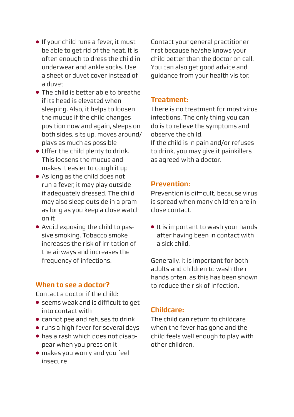- If your child runs a fever, it must be able to get rid of the heat. It is often enough to dress the child in underwear and ankle socks. Use a sheet or duvet cover instead of a duvet
- The child is better able to breathe if its head is elevated when sleeping. Also, it helps to loosen the mucus if the child changes position now and again, sleeps on both sides, sits up, moves around/ plays as much as possible
- Offer the child plenty to drink. This loosens the mucus and makes it easier to cough it up
- As long as the child does not run a fever, it may play outside if adequately dressed. The child may also sleep outside in a pram as long as you keep a close watch on it
- Avoid exposing the child to passive smoking. Tobacco smoke increases the risk of irritation of the airways and increases the frequency of infections.

#### **When to see a doctor?**

Contact a doctor if the child:

- seems weak and is difficult to get into contact with
- cannot pee and refuses to drink
- runs a high fever for several days
- has a rash which does not disappear when you press on it
- makes you worry and you feel insecure

Contact your general practitioner first because he/she knows your child better than the doctor on call. You can also get good advice and guidance from your health visitor.

#### **Treatment:**

There is no treatment for most virus infections. The only thing you can do is to relieve the symptoms and observe the child.

If the child is in pain and/or refuses to drink, you may give it painkillers as agreed with a doctor.

#### **Prevention:**

Prevention is difficult, because virus is spread when many children are in close contact.

● It is important to wash your hands after having been in contact with a sick child.

Generally, it is important for both adults and children to wash their hands often, as this has been shown to reduce the risk of infection.

# **Childcare:**

The child can return to childcare when the fever has gone and the child feels well enough to play with other children.